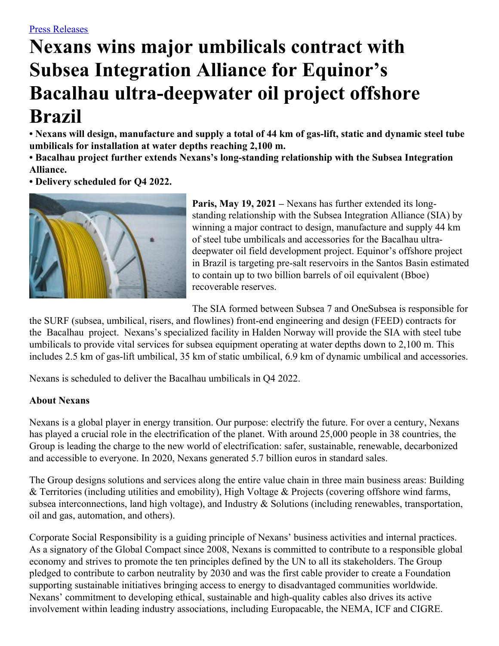# **Nexans wins major umbilicals contract with Subsea Integration Alliance for Equinor's Bacalhau ultra-deepwater oil project offshore Brazil**

• Nexans will design, manufacture and supply a total of 44 km of gas-lift, static and dynamic steel tube **umbilicals for installation at water depths reaching 2,100 m.**

**• Bacalhau project further extends Nexans's long-standing relationship with the Subsea Integration Alliance.**

**• Delivery scheduled for Q4 2022.**



**Paris, May 19, 2021 –** Nexans has further extended its longstanding relationship with the Subsea Integration Alliance (SIA) by winning a major contract to design, manufacture and supply 44 km of steel tube umbilicals and accessories for the Bacalhau ultradeepwater oil field development project. Equinor's offshore project in Brazil is targeting pre-salt reservoirs in the Santos Basin estimated to contain up to two billion barrels of oil equivalent (Bboe) recoverable reserves.

The SIA formed between Subsea 7 and OneSubsea is responsible for

the SURF (subsea, umbilical, risers, and flowlines) front-end engineering and design (FEED) contracts for the Bacalhau project. Nexans's specialized facility in Halden Norway will provide the SIA with steel tube umbilicals to provide vital services for subsea equipment operating at water depths down to 2,100 m. This includes 2.5 km of gas-lift umbilical, 35 km of static umbilical, 6.9 km of dynamic umbilical and accessories.

Nexans is scheduled to deliver the Bacalhau umbilicals in Q4 2022.

## **About Nexans**

Nexans is a global player in energy transition. Our purpose: electrify the future. For over a century, Nexans has played a crucial role in the electrification of the planet. With around 25,000 people in 38 countries, the Group is leading the charge to the new world of electrification: safer, sustainable, renewable, decarbonized and accessible to everyone. In 2020, Nexans generated 5.7 billion euros in standard sales.

The Group designs solutions and services along the entire value chain in three main business areas: Building & Territories (including utilities and emobility), High Voltage & Projects (covering offshore wind farms, subsea interconnections, land high voltage), and Industry & Solutions (including renewables, transportation, oil and gas, automation, and others).

Corporate Social Responsibility is a guiding principle of Nexans' business activities and internal practices. As a signatory of the Global Compact since 2008, Nexans is committed to contribute to a responsible global economy and strives to promote the ten principles defined by the UN to all its stakeholders. The Group pledged to contribute to carbon neutrality by 2030 and was the first cable provider to create a Foundation supporting sustainable initiatives bringing access to energy to disadvantaged communities worldwide. Nexans' commitment to developing ethical, sustainable and high-quality cables also drives its active involvement within leading industry associations, including Europacable, the NEMA, ICF and CIGRE.